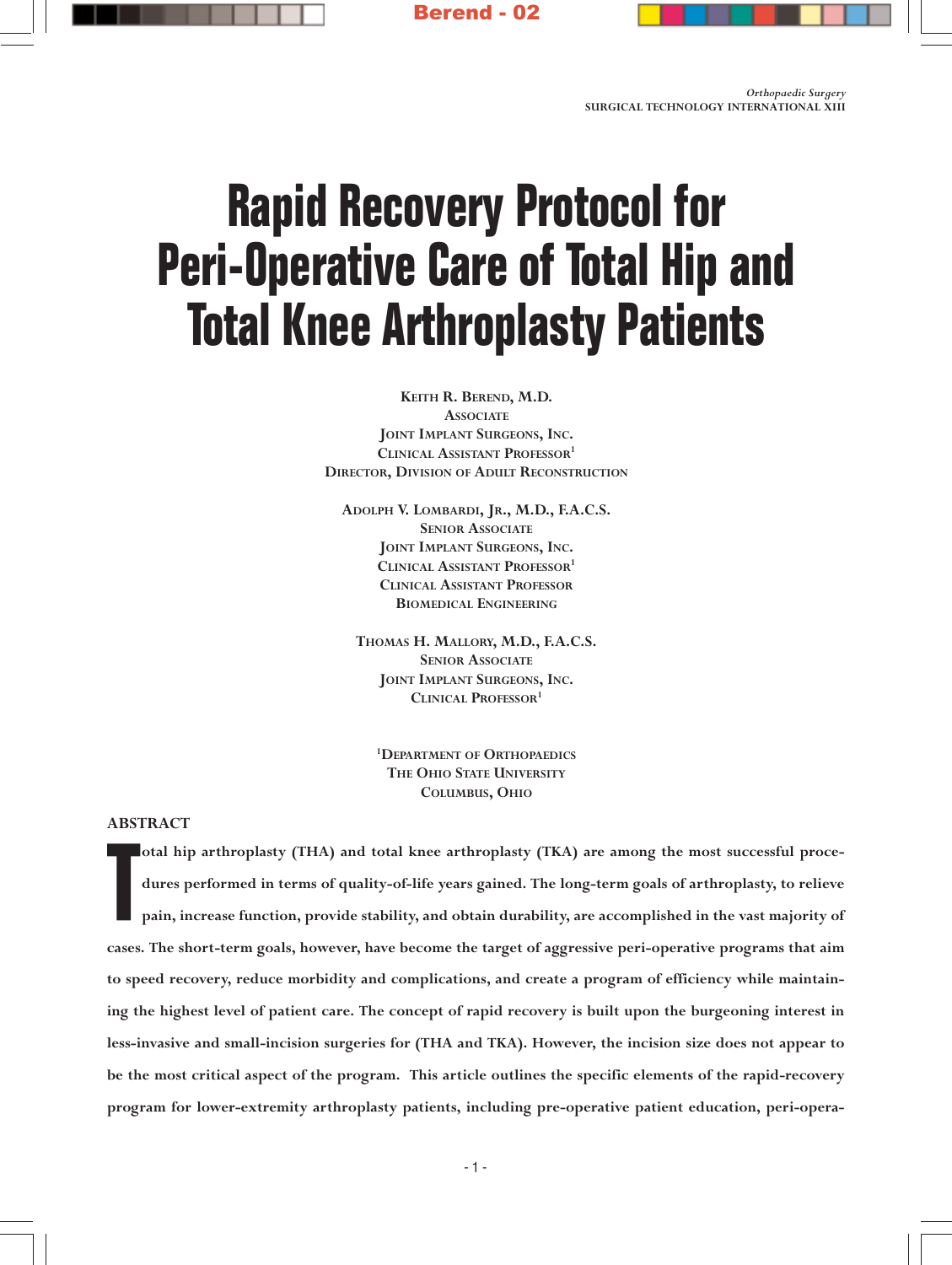

# **Rapid Recovery Protocol for Peri-Operative Care of Total Hip and Total Knee Arthroplasty Patients**

KEITH R. BEREND, M.D. **ASSOCIATE** JOINT IMPLANT SURGEONS, INC. CLINICAL ASSISTANT PROFESSOR<sup>1</sup> DIRECTOR, DIVISION OF ADULT RECONSTRUCTION

ADOLPH V. LOMBARDI, JR., M.D., F.A.C.S. SENIOR ASSOCIATE JOINT IMPLANT SURGEONS, INC. CLINICAL ASSISTANT PROFESSOR<sup>1</sup> CLINICAL ASSISTANT PROFESSOR BIOMEDICAL ENGINEERING

THOMAS H. MALLORY, M.D., F.A.C.S. SENIOR ASSOCIATE JOINT IMPLANT SURGEONS, INC. CLINICAL PROFESSOR<sup>1</sup>

1 DEPARTMENT OF ORTHOPAEDICS THE OHIO STATE UNIVERSITY COLUMBUS, OHIO

## ABSTRACT

T otal hip arthroplasty (THA) and total knee arthroplasty (TKA) are among the most successful procedures performed in terms of quality-of-life years gained. The long-term goals of arthroplasty, to relieve pain, increase function, provide stability, and obtain durability, are accomplished in the vast majority of cases. The short-term goals, however, have become the target of aggressive peri-operative programs that aim to speed recovery, reduce morbidity and complications, and create a program of efficiency while maintaining the highest level of patient care. The concept of rapid recovery is built upon the burgeoning interest in less-invasive and small-incision surgeries for (THA and TKA). However, the incision size does not appear to be the most critical aspect of the program. This article outlines the specific elements of the rapid-recovery program for lower-extremity arthroplasty patients, including pre-operative patient education, peri-opera-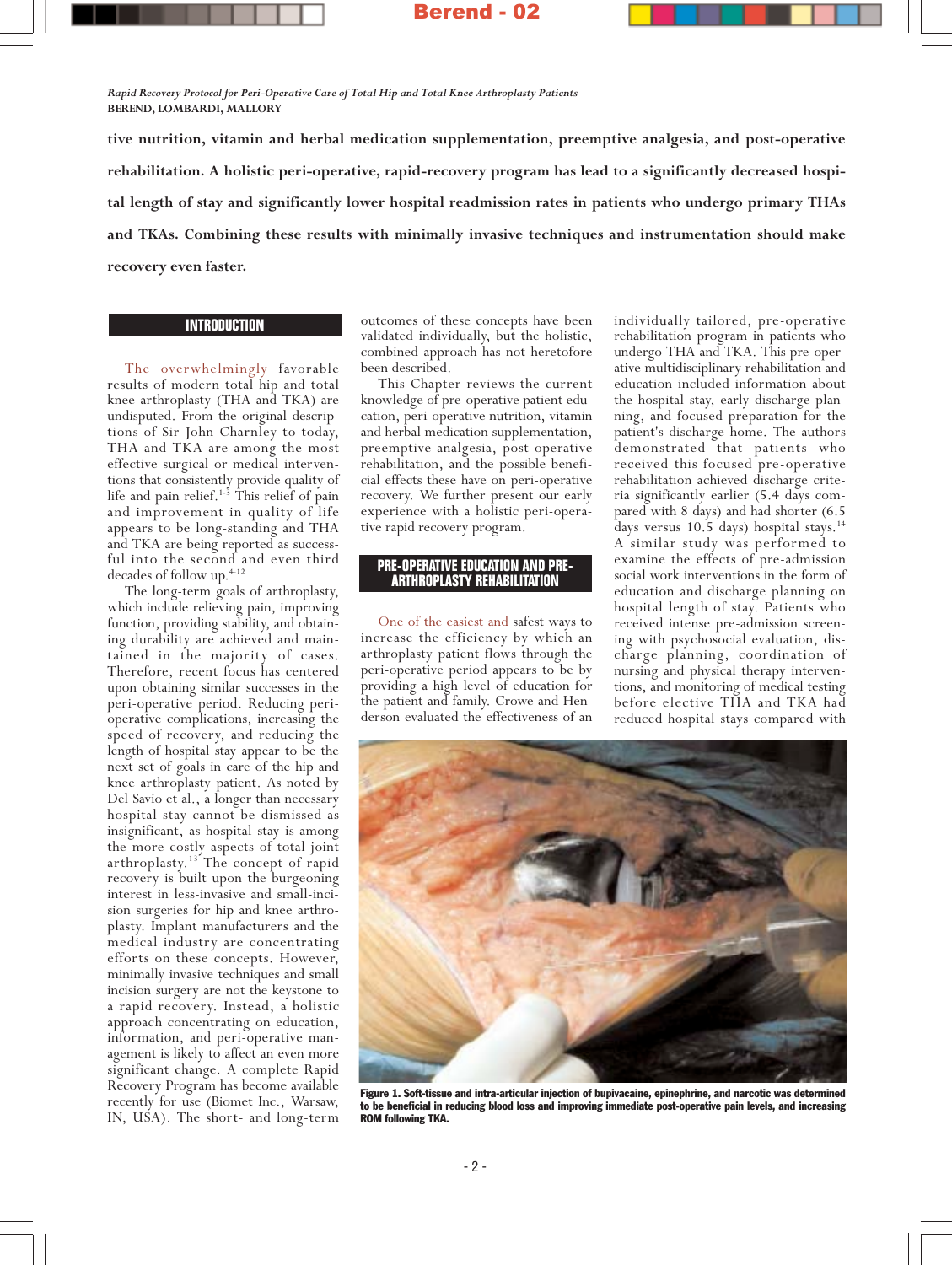Rapid Recovery Protocol for Peri-Operative Care of Total Hip and Total Knee Arthroplasty Patients BEREND, LOMBARDI, MALLORY

tive nutrition, vitamin and herbal medication supplementation, preemptive analgesia, and post-operative rehabilitation. A holistic peri-operative, rapid-recovery program has lead to a significantly decreased hospital length of stay and significantly lower hospital readmission rates in patients who undergo primary THAs and TKAs. Combining these results with minimally invasive techniques and instrumentation should make recovery even faster.

## **INTRODUCTION**

The overwhelmingly favorable results of modern total hip and total knee arthroplasty (THA and TKA) are undisputed. From the original descriptions of Sir John Charnley to today, THA and TKA are among the most effective surgical or medical interventions that consistently provide quality of life and pain relief.<sup>1-3</sup> This relief of pain and improvement in quality of life appears to be long-standing and THA and TKA are being reported as successful into the second and even third decades of follow up.<sup>4-12</sup>

The long-term goals of arthroplasty, which include relieving pain, improving function, providing stability, and obtaining durability are achieved and maintained in the majority of cases. Therefore, recent focus has centered upon obtaining similar successes in the peri-operative period. Reducing perioperative complications, increasing the speed of recovery, and reducing the length of hospital stay appear to be the next set of goals in care of the hip and knee arthroplasty patient. As noted by Del Savio et al., a longer than necessary hospital stay cannot be dismissed as insignificant, as hospital stay is among the more costly aspects of total joint arthroplasty.<sup>13</sup> The concept of rapid recovery is built upon the burgeoning interest in less-invasive and small-incision surgeries for hip and knee arthroplasty. Implant manufacturers and the medical industry are concentrating efforts on these concepts. However, minimally invasive techniques and small incision surgery are not the keystone to a rapid recovery. Instead, a holistic approach concentrating on education, information, and peri-operative management is likely to affect an even more significant change. A complete Rapid Recovery Program has become available recently for use (Biomet Inc., Warsaw, IN, USA). The short- and long-term

outcomes of these concepts have been validated individually, but the holistic, combined approach has not heretofore been described.

This Chapter reviews the current knowledge of pre-operative patient education, peri-operative nutrition, vitamin and herbal medication supplementation, preemptive analgesia, post-operative rehabilitation, and the possible beneficial effects these have on peri-operative recovery. We further present our early experience with a holistic peri-operative rapid recovery program.

#### **PRE-OPERATIVE EDUCATION AND PRE-ARTHROPLASTY REHABILITATION**

One of the easiest and safest ways to increase the efficiency by which an arthroplasty patient flows through the peri-operative period appears to be by providing a high level of education for the patient and family. Crowe and Henderson evaluated the effectiveness of an

individually tailored, pre-operative rehabilitation program in patients who undergo THA and TKA. This pre-operative multidisciplinary rehabilitation and education included information about the hospital stay, early discharge planning, and focused preparation for the patient's discharge home. The authors demonstrated that patients who received this focused pre-operative rehabilitation achieved discharge criteria significantly earlier (5.4 days compared with 8 days) and had shorter (6.5 days versus 10.5 days) hospital stays.<sup>14</sup> A similar study was performed to examine the effects of pre-admission social work interventions in the form of education and discharge planning on hospital length of stay. Patients who received intense pre-admission screening with psychosocial evaluation, discharge planning, coordination of nursing and physical therapy interventions, and monitoring of medical testing before elective THA and TKA had reduced hospital stays compared with



Figure 1. Soft-tissue and intra-articular injection of bupivacaine, epinephrine, and narcotic was determined to be beneficial in reducing blood loss and improving immediate post-operative pain levels, and increasing ROM following TKA.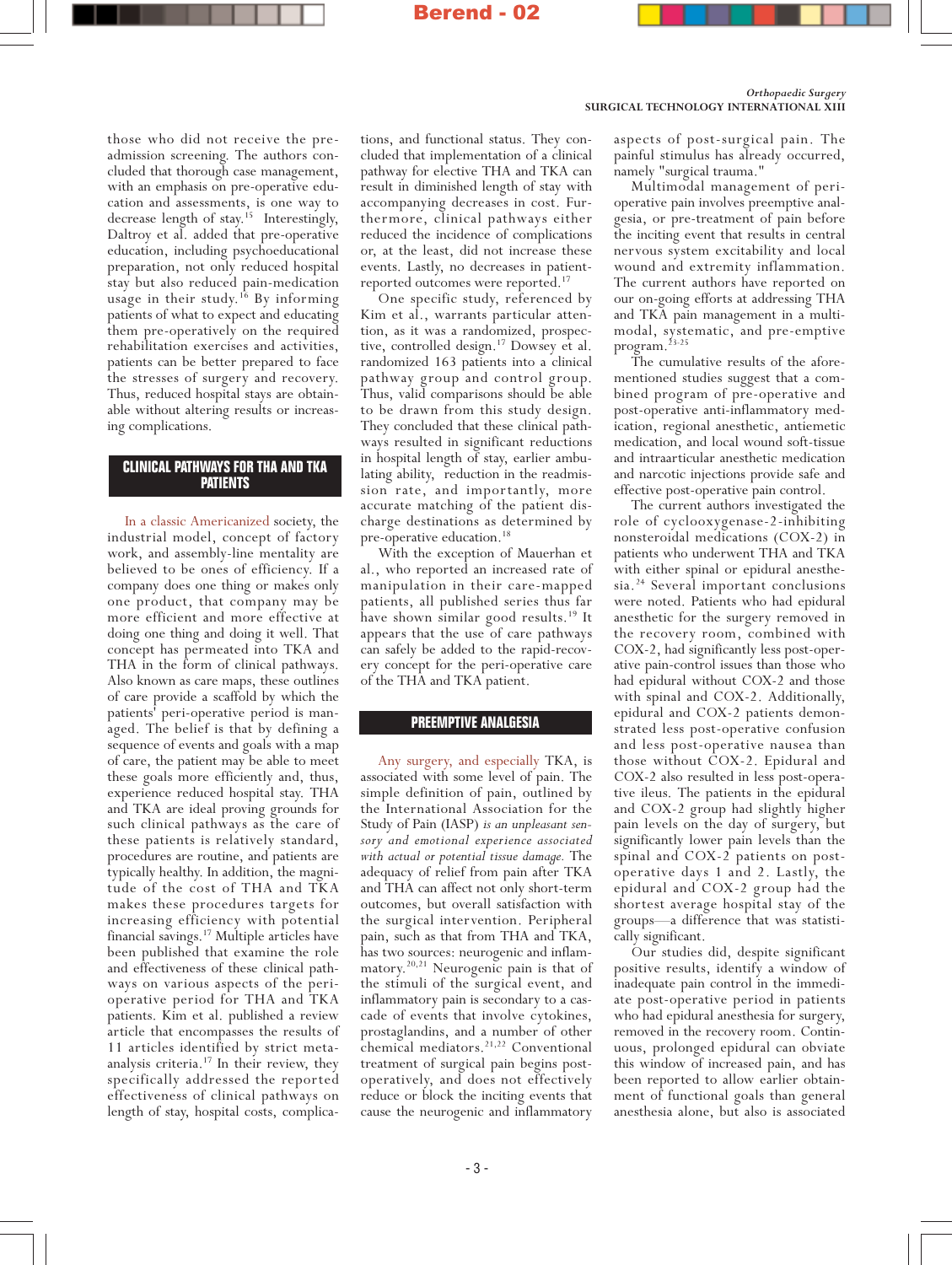#### Orthopaedic Surgery SURGICAL TECHNOLOGY INTERNATIONAL XIII

those who did not receive the preadmission screening. The authors concluded that thorough case management, with an emphasis on pre-operative education and assessments, is one way to decrease length of stay.<sup>15</sup> Interestingly, Daltroy et al. added that pre-operative education, including psychoeducational preparation, not only reduced hospital stay but also reduced pain-medication usage in their study.<sup>16</sup> By informing patients of what to expect and educating them pre-operatively on the required rehabilitation exercises and activities, patients can be better prepared to face the stresses of surgery and recovery. Thus, reduced hospital stays are obtainable without altering results or increasing complications.

#### **CLINICAL PATHWAYS FOR THA AND TKA PATIENTS**

In a classic Americanized society, the industrial model, concept of factory work, and assembly-line mentality are believed to be ones of efficiency. If a company does one thing or makes only one product, that company may be more efficient and more effective at doing one thing and doing it well. That concept has permeated into TKA and THA in the form of clinical pathways. Also known as care maps, these outlines of care provide a scaffold by which the patients' peri-operative period is managed. The belief is that by defining a sequence of events and goals with a map of care, the patient may be able to meet these goals more efficiently and, thus, experience reduced hospital stay. THA and TKA are ideal proving grounds for such clinical pathways as the care of these patients is relatively standard, procedures are routine, and patients are typically healthy. In addition, the magnitude of the cost of THA and TKA makes these procedures targets for increasing efficiency with potential financial savings.17 Multiple articles have been published that examine the role and effectiveness of these clinical pathways on various aspects of the perioperative period for THA and TKA patients. Kim et al. published a review article that encompasses the results of 11 articles identified by strict metaanalysis criteria.<sup>17</sup> In their review, they specifically addressed the reported effectiveness of clinical pathways on length of stay, hospital costs, complications, and functional status. They concluded that implementation of a clinical pathway for elective THA and TKA can result in diminished length of stay with accompanying decreases in cost. Furthermore, clinical pathways either reduced the incidence of complications or, at the least, did not increase these events. Lastly, no decreases in patientreported outcomes were reported.17

One specific study, referenced by Kim et al., warrants particular attention, as it was a randomized, prospective, controlled design.<sup>17</sup> Dowsey et al. randomized 163 patients into a clinical pathway group and control group. Thus, valid comparisons should be able to be drawn from this study design. They concluded that these clinical pathways resulted in significant reductions in hospital length of stay, earlier ambulating ability, reduction in the readmission rate, and importantly, more accurate matching of the patient discharge destinations as determined by pre-operative education.<sup>18</sup>

With the exception of Mauerhan et al., who reported an increased rate of manipulation in their care-mapped patients, all published series thus far have shown similar good results.19 It appears that the use of care pathways can safely be added to the rapid-recovery concept for the peri-operative care of the THA and TKA patient.

### **PREEMPTIVE ANALGESIA**

Any surgery, and especially TKA, is associated with some level of pain. The simple definition of pain, outlined by the International Association for the Study of Pain (IASP) is an unpleasant sensory and emotional experience associated with actual or potential tissue damage. The adequacy of relief from pain after TKA and THA can affect not only short-term outcomes, but overall satisfaction with the surgical intervention. Peripheral pain, such as that from THA and TKA, has two sources: neurogenic and inflammatory.20,21 Neurogenic pain is that of the stimuli of the surgical event, and inflammatory pain is secondary to a cascade of events that involve cytokines, prostaglandins, and a number of other chemical mediators.<sup>21,22</sup> Conventional treatment of surgical pain begins postoperatively, and does not effectively reduce or block the inciting events that cause the neurogenic and inflammatory

aspects of post-surgical pain. The painful stimulus has already occurred, namely "surgical trauma."

Multimodal management of perioperative pain involves preemptive analgesia, or pre-treatment of pain before the inciting event that results in central nervous system excitability and local wound and extremity inflammation. The current authors have reported on our on-going efforts at addressing THA and TKA pain management in a multimodal, systematic, and pre-emptive program.<sup>23-25</sup>

The cumulative results of the aforementioned studies suggest that a combined program of pre-operative and post-operative anti-inflammatory medication, regional anesthetic, antiemetic medication, and local wound soft-tissue and intraarticular anesthetic medication and narcotic injections provide safe and effective post-operative pain control.

The current authors investigated the role of cyclooxygenase-2-inhibiting nonsteroidal medications (COX-2) in patients who underwent THA and TKA with either spinal or epidural anesthesia.<sup>24</sup> Several important conclusions were noted. Patients who had epidural anesthetic for the surgery removed in the recovery room, combined with COX-2, had significantly less post-operative pain-control issues than those who had epidural without COX-2 and those with spinal and COX-2. Additionally, epidural and COX-2 patients demonstrated less post-operative confusion and less post-operative nausea than those without COX-2. Epidural and COX-2 also resulted in less post-operative ileus. The patients in the epidural and COX-2 group had slightly higher pain levels on the day of surgery, but significantly lower pain levels than the spinal and COX-2 patients on postoperative days 1 and 2. Lastly, the epidural and COX-2 group had the shortest average hospital stay of the groups—a difference that was statistically significant.

Our studies did, despite significant positive results, identify a window of inadequate pain control in the immediate post-operative period in patients who had epidural anesthesia for surgery, removed in the recovery room. Continuous, prolonged epidural can obviate this window of increased pain, and has been reported to allow earlier obtainment of functional goals than general anesthesia alone, but also is associated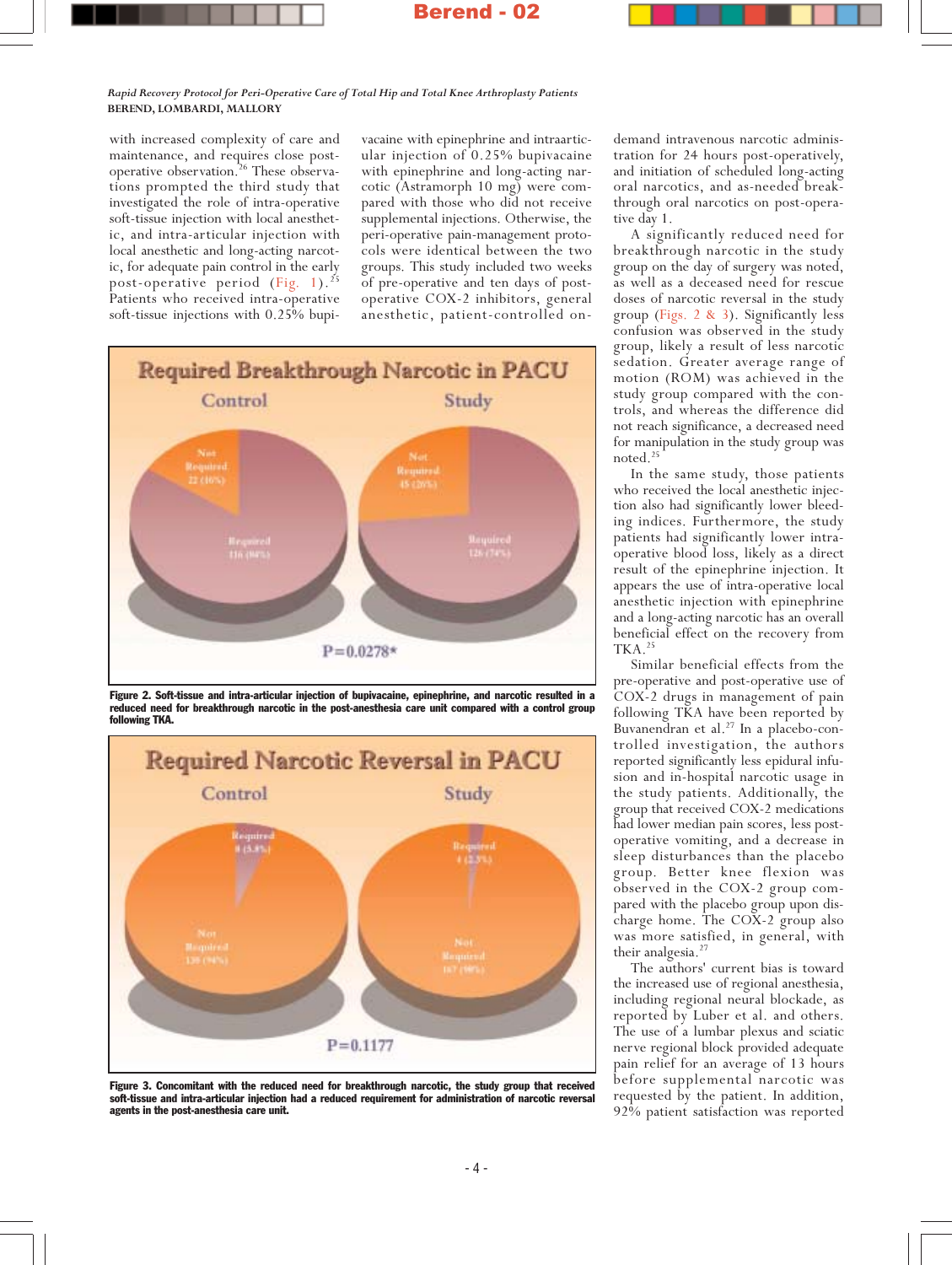#### Rapid Recovery Protocol for Peri-Operative Care of Total Hip and Total Knee Arthroplasty Patients BEREND, LOMBARDI, MALLORY

with increased complexity of care and maintenance, and requires close postoperative observation.26 These observations prompted the third study that investigated the role of intra-operative soft-tissue injection with local anesthetic, and intra-articular injection with local anesthetic and long-acting narcotic, for adequate pain control in the early post-operative period (Fig. 1).<sup>25</sup> Patients who received intra-operative soft-tissue injections with 0.25% bupivacaine with epinephrine and intraarticular injection of 0.25% bupivacaine with epinephrine and long-acting narcotic (Astramorph 10 mg) were compared with those who did not receive supplemental injections. Otherwise, the peri-operative pain-management protocols were identical between the two groups. This study included two weeks of pre-operative and ten days of postoperative COX-2 inhibitors, general anesthetic, patient-controlled on-



Figure 2. Soft-tissue and intra-articular injection of bupivacaine, epinephrine, and narcotic resulted in a reduced need for breakthrough narcotic in the post-anesthesia care unit compared with a control group following TKA.



Figure 3. Concomitant with the reduced need for breakthrough narcotic, the study group that received soft-tissue and intra-articular injection had a reduced requirement for administration of narcotic reversal agents in the post-anesthesia care unit.

demand intravenous narcotic administration for 24 hours post-operatively, and initiation of scheduled long-acting oral narcotics, and as-needed breakthrough oral narcotics on post-operative day 1.

A significantly reduced need for breakthrough narcotic in the study group on the day of surgery was noted, as well as a deceased need for rescue doses of narcotic reversal in the study group (Figs. 2 & 3). Significantly less confusion was observed in the study group, likely a result of less narcotic sedation. Greater average range of motion (ROM) was achieved in the study group compared with the controls, and whereas the difference did not reach significance, a decreased need for manipulation in the study group was noted.<sup>25</sup>

In the same study, those patients who received the local anesthetic injection also had significantly lower bleeding indices. Furthermore, the study patients had significantly lower intraoperative blood loss, likely as a direct result of the epinephrine injection. It appears the use of intra-operative local anesthetic injection with epinephrine and a long-acting narcotic has an overall beneficial effect on the recovery from TKA.<sup>25</sup>

Similar beneficial effects from the pre-operative and post-operative use of COX-2 drugs in management of pain following TKA have been reported by Buvanendran et al.<sup>27</sup> In a placebo-controlled investigation, the authors reported significantly less epidural infusion and in-hospital narcotic usage in the study patients. Additionally, the group that received COX-2 medications had lower median pain scores, less postoperative vomiting, and a decrease in sleep disturbances than the placebo group. Better knee flexion was observed in the COX-2 group compared with the placebo group upon discharge home. The COX-2 group also was more satisfied, in general, with their analgesia.<sup>27</sup>

The authors' current bias is toward the increased use of regional anesthesia, including regional neural blockade, as reported by Luber et al. and others. The use of a lumbar plexus and sciatic nerve regional block provided adequate pain relief for an average of 13 hours before supplemental narcotic was requested by the patient. In addition, 92% patient satisfaction was reported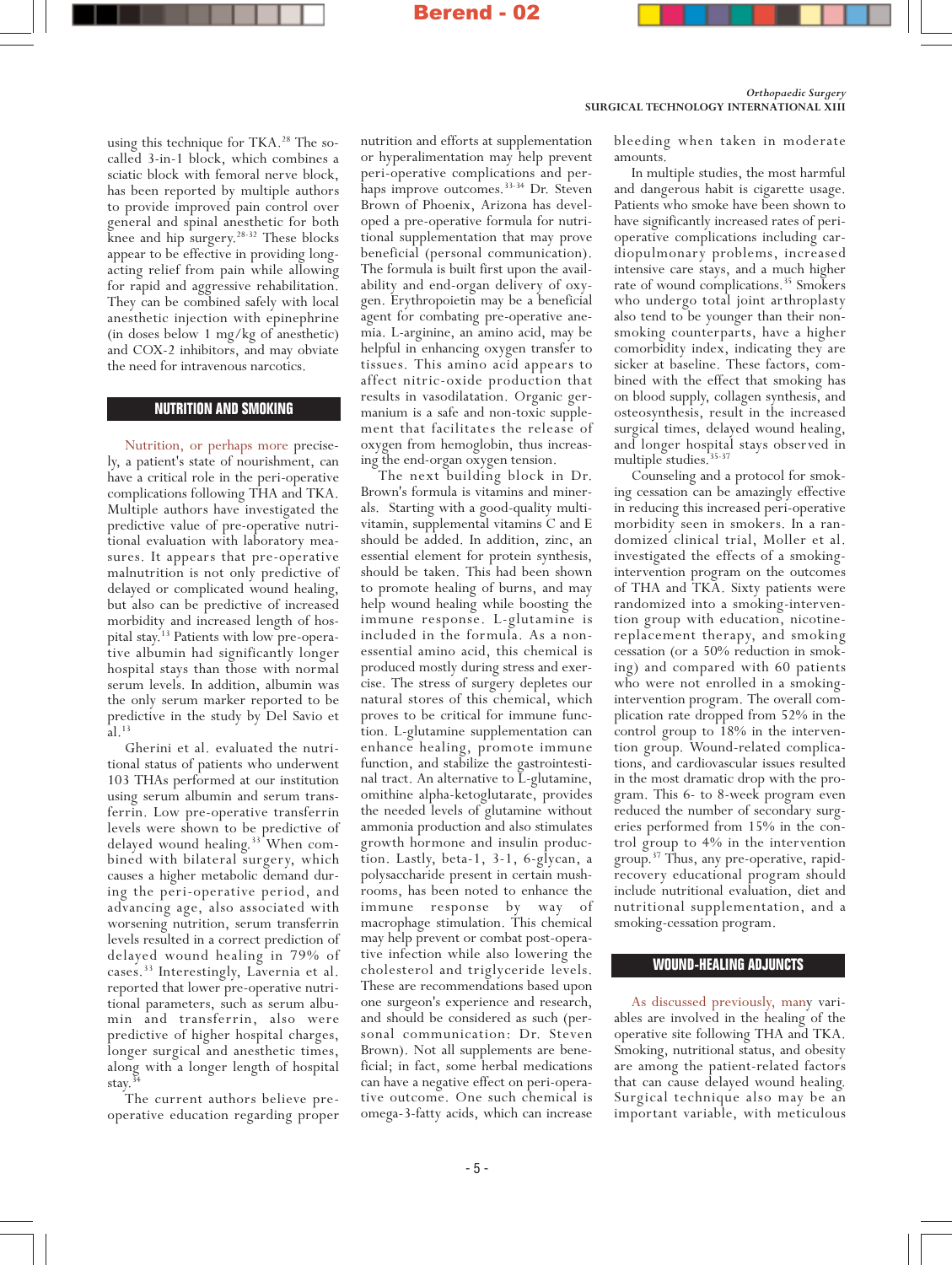Orthopaedic Surgery SURGICAL TECHNOLOGY INTERNATIONAL XIII

using this technique for  $TKA.^{28}$  The socalled 3-in-1 block, which combines a sciatic block with femoral nerve block, has been reported by multiple authors to provide improved pain control over general and spinal anesthetic for both knee and hip surgery.<sup>28-32</sup> These blocks appear to be effective in providing longacting relief from pain while allowing for rapid and aggressive rehabilitation. They can be combined safely with local anesthetic injection with epinephrine (in doses below 1 mg/kg of anesthetic) and COX-2 inhibitors, and may obviate the need for intravenous narcotics.

#### **NUTRITION AND SMOKING**

Nutrition, or perhaps more precisely, a patient's state of nourishment, can have a critical role in the peri-operative complications following THA and TKA. Multiple authors have investigated the predictive value of pre-operative nutritional evaluation with laboratory measures. It appears that pre-operative malnutrition is not only predictive of delayed or complicated wound healing, but also can be predictive of increased morbidity and increased length of hospital stay.13 Patients with low pre-operative albumin had significantly longer hospital stays than those with normal serum levels. In addition, albumin was the only serum marker reported to be predictive in the study by Del Savio et al.13

Gherini et al. evaluated the nutritional status of patients who underwent 103 THAs performed at our institution using serum albumin and serum transferrin. Low pre-operative transferrin levels were shown to be predictive of delayed wound healing.<sup>33</sup> When combined with bilateral surgery, which causes a higher metabolic demand during the peri-operative period, and advancing age, also associated with worsening nutrition, serum transferrin levels resulted in a correct prediction of delayed wound healing in 79% of cases.33 Interestingly, Lavernia et al. reported that lower pre-operative nutritional parameters, such as serum albumin and transferrin, also were predictive of higher hospital charges, longer surgical and anesthetic times, along with a longer length of hospital stay.

The current authors believe preoperative education regarding proper

nutrition and efforts at supplementation or hyperalimentation may help prevent peri-operative complications and perhaps improve outcomes.<sup>33-34</sup> Dr. Steven Brown of Phoenix, Arizona has developed a pre-operative formula for nutritional supplementation that may prove beneficial (personal communication). The formula is built first upon the availability and end-organ delivery of oxygen. Erythropoietin may be a beneficial agent for combating pre-operative anemia. L-arginine, an amino acid, may be helpful in enhancing oxygen transfer to tissues. This amino acid appears to affect nitric-oxide production that results in vasodilatation. Organic germanium is a safe and non-toxic supplement that facilitates the release of oxygen from hemoglobin, thus increasing the end-organ oxygen tension.

The next building block in Dr. Brown's formula is vitamins and minerals. Starting with a good-quality multivitamin, supplemental vitamins C and E should be added. In addition, zinc, an essential element for protein synthesis, should be taken. This had been shown to promote healing of burns, and may help wound healing while boosting the immune response. L-glutamine is included in the formula. As a nonessential amino acid, this chemical is produced mostly during stress and exercise. The stress of surgery depletes our natural stores of this chemical, which proves to be critical for immune function. L-glutamine supplementation can enhance healing, promote immune function, and stabilize the gastrointestinal tract. An alternative to L-glutamine, omithine alpha-ketoglutarate, provides the needed levels of glutamine without ammonia production and also stimulates growth hormone and insulin production. Lastly, beta-1, 3-1, 6-glycan, a polysaccharide present in certain mushrooms, has been noted to enhance the immune response by way of macrophage stimulation. This chemical may help prevent or combat post-operative infection while also lowering the cholesterol and triglyceride levels. These are recommendations based upon one surgeon's experience and research, and should be considered as such (personal communication: Dr. Steven Brown). Not all supplements are beneficial; in fact, some herbal medications can have a negative effect on peri-operative outcome. One such chemical is omega-3-fatty acids, which can increase

bleeding when taken in moderate amounts.

In multiple studies, the most harmful and dangerous habit is cigarette usage. Patients who smoke have been shown to have significantly increased rates of perioperative complications including cardiopulmonary problems, increased intensive care stays, and a much higher rate of wound complications.<sup>35</sup> Smokers who undergo total joint arthroplasty also tend to be younger than their nonsmoking counterparts, have a higher comorbidity index, indicating they are sicker at baseline. These factors, combined with the effect that smoking has on blood supply, collagen synthesis, and osteosynthesis, result in the increased surgical times, delayed wound healing, and longer hospital stays observed in multiple studies.<sup>35-37</sup>

Counseling and a protocol for smoking cessation can be amazingly effective in reducing this increased peri-operative morbidity seen in smokers. In a randomized clinical trial, Moller et al. investigated the effects of a smokingintervention program on the outcomes of THA and TKA. Sixty patients were randomized into a smoking-intervention group with education, nicotinereplacement therapy, and smoking cessation (or a 50% reduction in smoking) and compared with 60 patients who were not enrolled in a smokingintervention program. The overall complication rate dropped from 52% in the control group to 18% in the intervention group. Wound-related complications, and cardiovascular issues resulted in the most dramatic drop with the program. This 6- to 8-week program even reduced the number of secondary surgeries performed from 15% in the control group to 4% in the intervention group.37 Thus, any pre-operative, rapidrecovery educational program should include nutritional evaluation, diet and nutritional supplementation, and a smoking-cessation program.

## **WOUND-HEALING ADJUNCTS**

As discussed previously, many variables are involved in the healing of the operative site following THA and TKA. Smoking, nutritional status, and obesity are among the patient-related factors that can cause delayed wound healing. Surgical technique also may be an important variable, with meticulous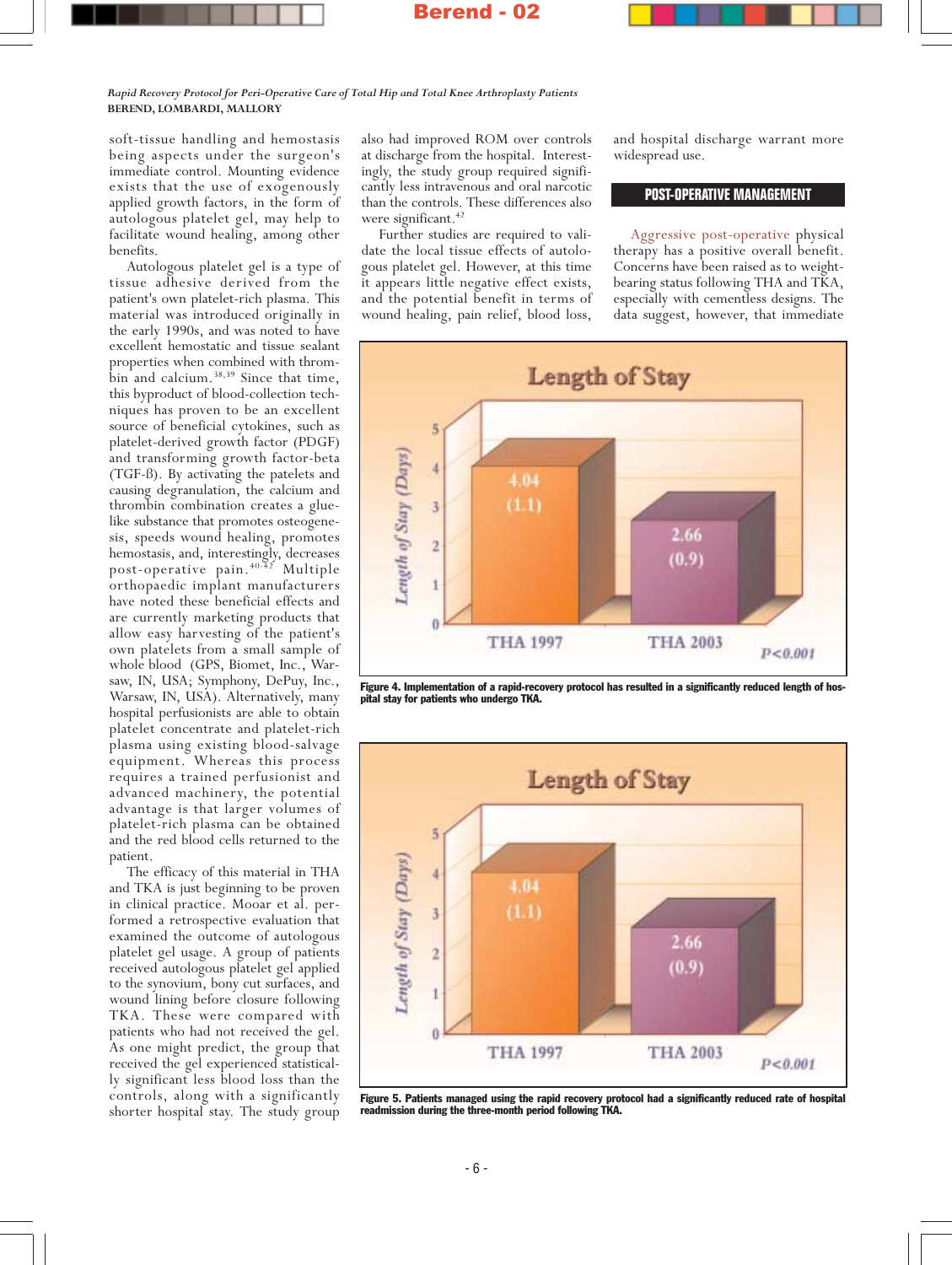Rapid Recovery Protocol for Peri-Operative Care of Total Hip and Total Knee Arthroplasty Patients BEREND, LOMBARDI, MALLORY

soft-tissue handling and hemostasis being aspects under the surgeon's immediate control. Mounting evidence exists that the use of exogenously applied growth factors, in the form of autologous platelet gel, may help to facilitate wound healing, among other benefits.

Autologous platelet gel is a type of tissue adhesive derived from the patient's own platelet-rich plasma. This material was introduced originally in the early 1990s, and was noted to have excellent hemostatic and tissue sealant properties when combined with thrombin and calcium.<sup>38,39</sup> Since that time, this byproduct of blood-collection techniques has proven to be an excellent source of beneficial cytokines, such as platelet-derived growth factor (PDGF) and transforming growth factor-beta (TGF-ß). By activating the patelets and causing degranulation, the calcium and thrombin combination creates a gluelike substance that promotes osteogenesis, speeds wound healing, promotes hemostasis, and, interestingly, decreases post-operative pain.40-42 Multiple orthopaedic implant manufacturers have noted these beneficial effects and are currently marketing products that allow easy harvesting of the patient's own platelets from a small sample of whole blood (GPS, Biomet, Inc., Warsaw, IN, USA; Symphony, DePuy, Inc., Warsaw, IN, USA). Alternatively, many hospital perfusionists are able to obtain platelet concentrate and platelet-rich plasma using existing blood-salvage equipment. Whereas this process requires a trained perfusionist and advanced machinery, the potential advantage is that larger volumes of platelet-rich plasma can be obtained and the red blood cells returned to the patient.

The efficacy of this material in THA and TKA is just beginning to be proven in clinical practice. Mooar et al. performed a retrospective evaluation that examined the outcome of autologous platelet gel usage. A group of patients received autologous platelet gel applied to the synovium, bony cut surfaces, and wound lining before closure following TKA. These were compared with patients who had not received the gel. As one might predict, the group that received the gel experienced statistically significant less blood loss than the controls, along with a significantly shorter hospital stay. The study group

also had improved ROM over controls at discharge from the hospital. Interestingly, the study group required significantly less intravenous and oral narcotic than the controls. These differences also were significant.<sup>42</sup>

Further studies are required to validate the local tissue effects of autologous platelet gel. However, at this time it appears little negative effect exists, and the potential benefit in terms of wound healing, pain relief, blood loss, and hospital discharge warrant more widespread use.

### **POST-OPERATIVE MANAGEMENT**

Aggressive post-operative physical therapy has a positive overall benefit. Concerns have been raised as to weightbearing status following THA and TKA, especially with cementless designs. The data suggest, however, that immediate



Figure 4. Implementation of a rapid-recovery protocol has resulted in a significantly reduced length of hospital stay for patients who undergo TKA.



Figure 5. Patients managed using the rapid recovery protocol had a significantly reduced rate of hospital readmission during the three-month period following TKA.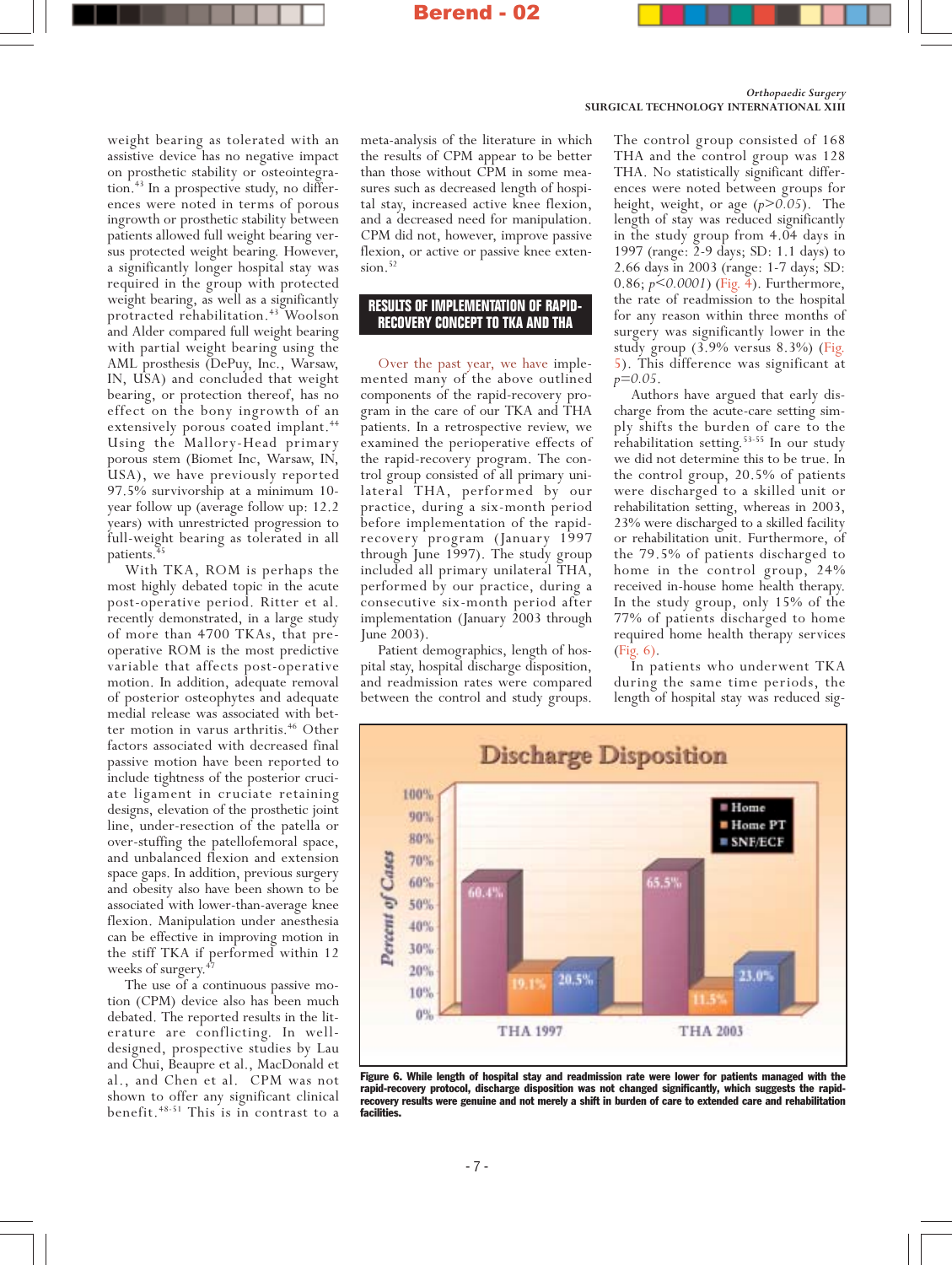

weight bearing as tolerated with an assistive device has no negative impact on prosthetic stability or osteointegration.<sup>43</sup> In a prospective study, no differences were noted in terms of porous ingrowth or prosthetic stability between patients allowed full weight bearing versus protected weight bearing. However, a significantly longer hospital stay was required in the group with protected weight bearing, as well as a significantly protracted rehabilitation.<sup>43</sup> Woolson and Alder compared full weight bearing with partial weight bearing using the AML prosthesis (DePuy, Inc., Warsaw, IN, USA) and concluded that weight bearing, or protection thereof, has no effect on the bony ingrowth of an extensively porous coated implant.<sup>44</sup> Using the Mallory-Head primary porous stem (Biomet Inc, Warsaw, IN, USA), we have previously reported 97.5% survivorship at a minimum 10 year follow up (average follow up: 12.2 years) with unrestricted progression to full-weight bearing as tolerated in all patients.<sup>4</sup>

With TKA, ROM is perhaps the most highly debated topic in the acute post-operative period. Ritter et al. recently demonstrated, in a large study of more than 4700 TKAs, that preoperative ROM is the most predictive variable that affects post-operative motion. In addition, adequate removal of posterior osteophytes and adequate medial release was associated with better motion in varus arthritis.<sup>46</sup> Other factors associated with decreased final passive motion have been reported to include tightness of the posterior cruciate ligament in cruciate retaining designs, elevation of the prosthetic joint line, under-resection of the patella or over-stuffing the patellofemoral space, and unbalanced flexion and extension space gaps. In addition, previous surgery and obesity also have been shown to be associated with lower-than-average knee flexion. Manipulation under anesthesia can be effective in improving motion in the stiff TKA if performed within 12 weeks of surgery.<sup>4</sup>

The use of a continuous passive motion (CPM) device also has been much debated. The reported results in the literature are conflicting. In welldesigned, prospective studies by Lau and Chui, Beaupre et al., MacDonald et al., and Chen et al. CPM was not shown to offer any significant clinical benefit.48-51 This is in contrast to a meta-analysis of the literature in which the results of CPM appear to be better than those without CPM in some measures such as decreased length of hospital stay, increased active knee flexion, and a decreased need for manipulation. CPM did not, however, improve passive flexion, or active or passive knee extension.<sup>52</sup>

## **RESULTS OF IMPLEMENTATION OF RAPID-RECOVERY CONCEPT TO TKA AND THA**

Over the past year, we have implemented many of the above outlined components of the rapid-recovery program in the care of our TKA and THA patients. In a retrospective review, we examined the perioperative effects of the rapid-recovery program. The control group consisted of all primary unilateral THA, performed by our practice, during a six-month period before implementation of the rapidrecovery program (January 1997 through June 1997). The study group included all primary unilateral THA, performed by our practice, during a consecutive six-month period after implementation (January 2003 through June 2003).

Patient demographics, length of hospital stay, hospital discharge disposition, and readmission rates were compared between the control and study groups.

Orthopaedic Surgery SURGICAL TECHNOLOGY INTERNATIONAL XIII

> The control group consisted of 168 THA and the control group was 128 THA. No statistically significant differences were noted between groups for height, weight, or age  $(p>0.05)$ . The length of stay was reduced significantly in the study group from 4.04 days in 1997 (range: 2-9 days; SD: 1.1 days) to 2.66 days in 2003 (range: 1-7 days; SD: 0.86; p<0.0001) (Fig. 4). Furthermore, the rate of readmission to the hospital for any reason within three months of surgery was significantly lower in the study group (3.9% versus 8.3%) (Fig. 5). This difference was significant at  $p=0.05$ .

> Authors have argued that early discharge from the acute-care setting simply shifts the burden of care to the rehabilitation setting.53-55 In our study we did not determine this to be true. In the control group, 20.5% of patients were discharged to a skilled unit or rehabilitation setting, whereas in 2003, 23% were discharged to a skilled facility or rehabilitation unit. Furthermore, of the 79.5% of patients discharged to home in the control group, 24% received in-house home health therapy. In the study group, only 15% of the 77% of patients discharged to home required home health therapy services (Fig. 6).

> In patients who underwent TKA during the same time periods, the length of hospital stay was reduced sig-



Figure 6. While length of hospital stay and readmission rate were lower for patients managed with the rapid-recovery protocol, discharge disposition was not changed significantly, which suggests the rapidrecovery results were genuine and not merely a shift in burden of care to extended care and rehabilitation facilities.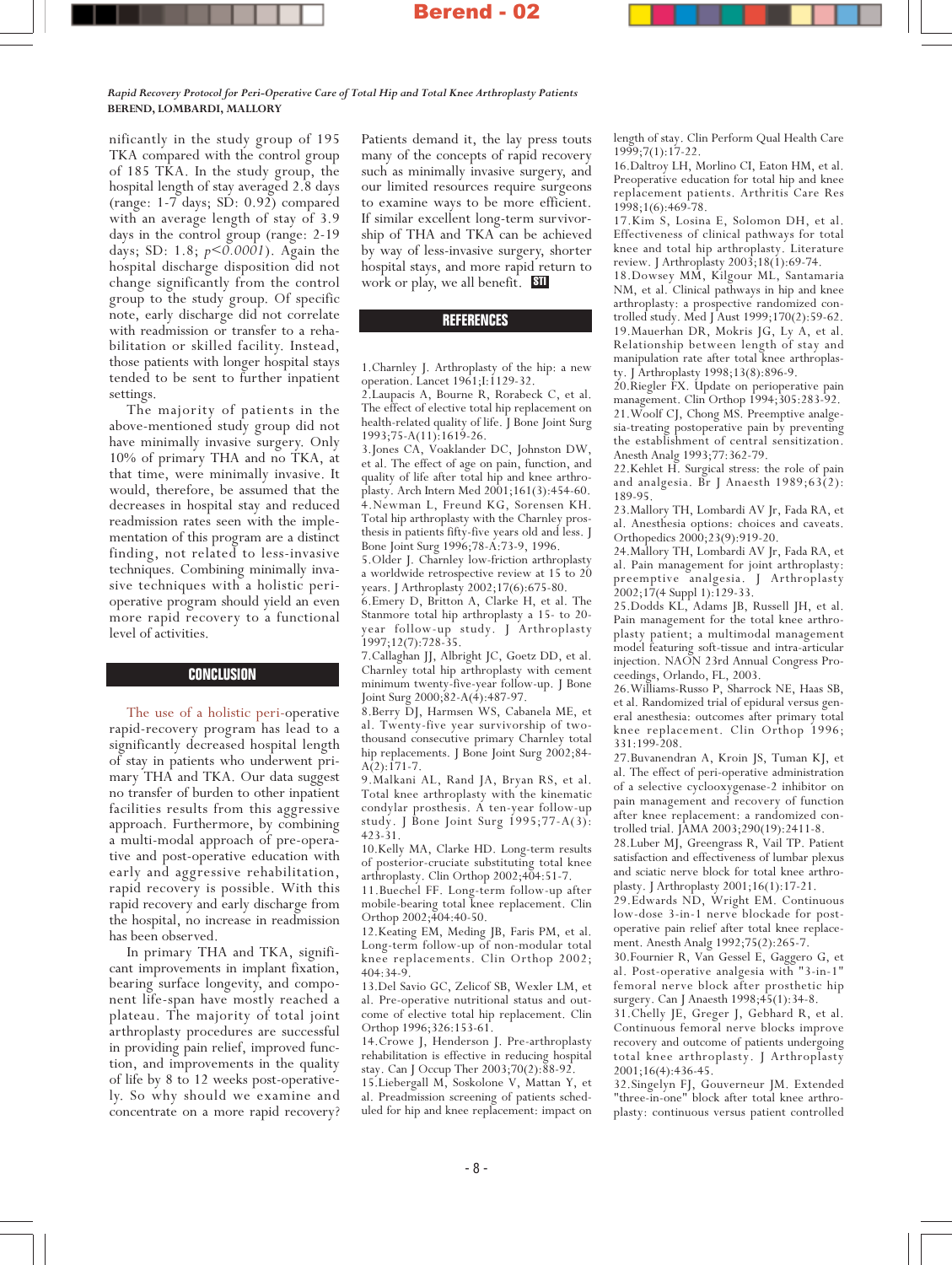Rapid Recovery Protocol for Peri-Operative Care of Total Hip and Total Knee Arthroplasty Patients BEREND, LOMBARDI, MALLORY

nificantly in the study group of 195 TKA compared with the control group of 185 TKA. In the study group, the hospital length of stay averaged 2.8 days (range: 1-7 days; SD: 0.92) compared with an average length of stay of 3.9 days in the control group (range: 2-19 days; SD: 1.8; p<0.0001). Again the hospital discharge disposition did not change significantly from the control group to the study group. Of specific note, early discharge did not correlate with readmission or transfer to a rehabilitation or skilled facility. Instead, those patients with longer hospital stays tended to be sent to further inpatient settings.

The majority of patients in the above-mentioned study group did not have minimally invasive surgery. Only 10% of primary THA and no TKA, at that time, were minimally invasive. It would, therefore, be assumed that the decreases in hospital stay and reduced readmission rates seen with the implementation of this program are a distinct finding, not related to less-invasive techniques. Combining minimally invasive techniques with a holistic perioperative program should yield an even more rapid recovery to a functional level of activities.

#### **CONCLUSION**

The use of a holistic peri-operative rapid-recovery program has lead to a significantly decreased hospital length of stay in patients who underwent primary THA and TKA. Our data suggest no transfer of burden to other inpatient facilities results from this aggressive approach. Furthermore, by combining a multi-modal approach of pre-operative and post-operative education with early and aggressive rehabilitation, rapid recovery is possible. With this rapid recovery and early discharge from the hospital, no increase in readmission has been observed.

In primary THA and TKA, significant improvements in implant fixation, bearing surface longevity, and component life-span have mostly reached a plateau. The majority of total joint arthroplasty procedures are successful in providing pain relief, improved function, and improvements in the quality of life by 8 to 12 weeks post-operatively. So why should we examine and concentrate on a more rapid recovery? Patients demand it, the lay press touts many of the concepts of rapid recovery such as minimally invasive surgery, and our limited resources require surgeons to examine ways to be more efficient. If similar excellent long-term survivorship of THA and TKA can be achieved by way of less-invasive surgery, shorter hospital stays, and more rapid return to work or play, we all benefit.  $\,$  SII

#### **REFERENCES**

1.Charnley J. Arthroplasty of the hip: a new operation. Lancet 1961;I:1129-32.

2.Laupacis A, Bourne R, Rorabeck C, et al. The effect of elective total hip replacement on health-related quality of life. J Bone Joint Surg 1993;75-A(11):1619-26.

3.Jones CA, Voaklander DC, Johnston DW, et al. The effect of age on pain, function, and quality of life after total hip and knee arthroplasty. Arch Intern Med 2001;161(3):454-60. 4.Newman L, Freund KG, Sorensen KH. Total hip arthroplasty with the Charnley prosthesis in patients fifty-five years old and less. J Bone Joint Surg 1996;78-A:73-9, 1996.

5.Older J. Charnley low-friction arthroplasty a worldwide retrospective review at 15 to 20 years. J Arthroplasty 2002;17(6):675-80.

6.Emery D, Britton A, Clarke H, et al. The Stanmore total hip arthroplasty a 15- to 20 year follow-up study. J Arthroplasty 1997;12(7):728-35.

7.Callaghan JJ, Albright JC, Goetz DD, et al. Charnley total hip arthroplasty with cement minimum twenty-five-year follow-up. J Bone Joint Surg 2000;82-A(4):487-97.

8.Berry DJ, Harmsen WS, Cabanela ME, et al. Twenty-five year survivorship of twothousand consecutive primary Charnley total hip replacements. J Bone Joint Surg 2002;84-  $A(2):171-7.$ 

9.Malkani AL, Rand JA, Bryan RS, et al. Total knee arthroplasty with the kinematic condylar prosthesis. A ten-year follow-up study. J Bone Joint Surg  $1995;77-A(3)$ : 423-31.

10.Kelly MA, Clarke HD. Long-term results of posterior-cruciate substituting total knee arthroplasty. Clin Orthop 2002;404:51-7.

11.Buechel FF. Long-term follow-up after mobile-bearing total knee replacement. Clin Orthop 2002;404:40-50.

12.Keating EM, Meding JB, Faris PM, et al. Long-term follow-up of non-modular total knee replacements. Clin Orthop 2002; 404:34-9.

13.Del Savio GC, Zelicof SB, Wexler LM, et al. Pre-operative nutritional status and outcome of elective total hip replacement. Clin Orthop 1996;326:153-61.

14.Crowe J, Henderson J. Pre-arthroplasty rehabilitation is effective in reducing hospital stay. Can J Occup Ther 2003;70(2):88-92.

15.Liebergall M, Soskolone V, Mattan Y, et al. Preadmission screening of patients scheduled for hip and knee replacement: impact on length of stay. Clin Perform Qual Health Care 1999;7(1):17-22.

16.Daltroy LH, Morlino CI, Eaton HM, et al. Preoperative education for total hip and knee replacement patients. Arthritis Care Res 1998;1(6):469-78.

17.Kim S, Losina E, Solomon DH, et al. Effectiveness of clinical pathways for total knee and total hip arthroplasty. Literature review. J Arthroplasty 2003;18(1):69-74.

18.Dowsey MM, Kilgour ML, Santamaria NM, et al. Clinical pathways in hip and knee arthroplasty: a prospective randomized controlled study. Med J Aust 1999;170(2):59-62. 19.Mauerhan DR, Mokris JG, Ly A, et al. Relationship between length of stay and manipulation rate after total knee arthroplasty. J Arthroplasty 1998;13(8):896-9.

20.Riegler FX. Update on perioperative pain management. Clin Orthop 1994;305:283-92. 21.Woolf CJ, Chong MS. Preemptive analgesia-treating postoperative pain by preventing the establishment of central sensitization. Anesth Analg 1993;77:362-79.

22.Kehlet H. Surgical stress: the role of pain and analgesia. Br J Anaesth 1989;63(2): 189-95.

23.Mallory TH, Lombardi AV Jr, Fada RA, et al. Anesthesia options: choices and caveats. Orthopedics 2000;23(9):919-20.

24.Mallory TH, Lombardi AV Jr, Fada RA, et al. Pain management for joint arthroplasty: preemptive analgesia. J Arthroplasty 2002;17(4 Suppl 1):129-33.

25.Dodds KL, Adams JB, Russell JH, et al. Pain management for the total knee arthroplasty patient; a multimodal management model featuring soft-tissue and intra-articular injection. NAON 23rd Annual Congress Proceedings, Orlando, FL, 2003.

26.Williams-Russo P, Sharrock NE, Haas SB, et al. Randomized trial of epidural versus general anesthesia: outcomes after primary total knee replacement. Clin Orthop 1996; 331:199-208.

27.Buvanendran A, Kroin JS, Tuman KJ, et al. The effect of peri-operative administration of a selective cyclooxygenase-2 inhibitor on pain management and recovery of function after knee replacement: a randomized controlled trial. JAMA 2003;290(19):2411-8.

28.Luber MJ, Greengrass R, Vail TP. Patient satisfaction and effectiveness of lumbar plexus and sciatic nerve block for total knee arthroplasty. J Arthroplasty 2001;16(1):17-21.

29.Edwards ND, Wright EM. Continuous low-dose 3-in-1 nerve blockade for postoperative pain relief after total knee replacement. Anesth Analg 1992;75(2):265-7.

30.Fournier R, Van Gessel E, Gaggero G, et al. Post-operative analgesia with "3-in-1" femoral nerve block after prosthetic hip surgery. Can J Anaesth 1998;45(1):34-8.

31.Chelly JE, Greger J, Gebhard R, et al. Continuous femoral nerve blocks improve recovery and outcome of patients undergoing total knee arthroplasty. J Arthroplasty 2001;16(4):436-45.

32.Singelyn FJ, Gouverneur JM. Extended "three-in-one" block after total knee arthroplasty: continuous versus patient controlled